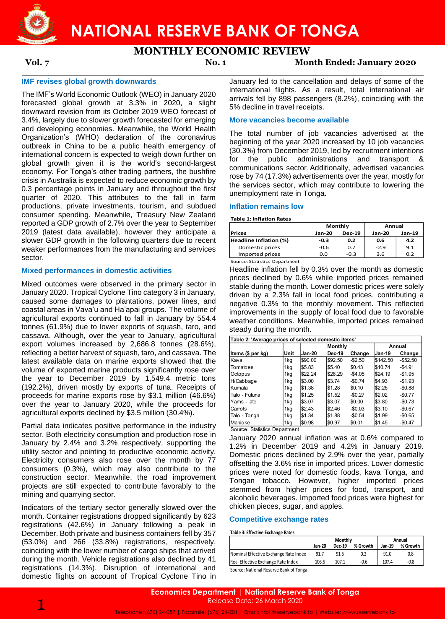

# **NATIONAL RESERVE BANK OF TONGA**

## **MONTHLY ECONOMIC REVIEW**

**Vol. 7 No. 1 Month Ended: January 2020**

# **IMF revises global growth downwards**

The IMF's World Economic Outlook (WEO) in January 2020 forecasted global growth at 3.3% in 2020, a slight downward revision from its October 2019 WEO forecast of 3.4%, largely due to slower growth forecasted for emerging and developing economies. Meanwhile, the World Health Organization's (WHO) declaration of the coronavirus outbreak in China to be a public health emergency of international concern is expected to weigh down further on global growth given it is the world's second-largest economy. For Tonga's other trading partners, the bushfire crisis in Australia is expected to reduce economic growth by 0.3 percentage points in January and throughout the first quarter of 2020. This attributes to the fall in farm productions, private investments, tourism, and subdued consumer spending. Meanwhile, Treasury New Zealand reported a GDP growth of 2.7% over the year to September 2019 (latest data available), however they anticipate a slower GDP growth in the following quarters due to recent weaker performances from the manufacturing and services sector.

#### **Mixed performances in domestic activities**

Mixed outcomes were observed in the primary sector in January 2020. Tropical Cyclone Tino category 3 in January, caused some damages to plantations, power lines, and coastal areas in Vava'u and Ha'apai groups. The volume of agricultural exports continued to fall in January by 554.4 tonnes (61.9%) due to lower exports of squash, taro, and cassava. Although, over the year to January, agricultural export volumes increased by 2,686.8 tonnes (28.6%), reflecting a better harvest of squash, taro, and cassava. The latest available data on marine exports showed that the volume of exported marine products significantly rose over the year to December 2019 by 1,549.4 metric tons (192.2%), driven mostly by exports of tuna. Receipts of proceeds for marine exports rose by \$3.1 million (46.6%) over the year to January 2020, while the proceeds for agricultural exports declined by \$3.5 million (30.4%).

Partial data indicates positive performance in the industry sector. Both electricity consumption and production rose in January by 2.4% and 3.2% respectively, supporting the utility sector and pointing to productive economic activity. Electricity consumers also rose over the month by 77 consumers (0.3%), which may also contribute to the construction sector. Meanwhile, the road improvement projects are still expected to contribute favorably to the mining and quarrying sector.

Indicators of the tertiary sector generally slowed over the month. Container registrations dropped significantly by 623 registrations (42.6%) in January following a peak in December. Both private and business containers fell by 357 (53.0%) and 266 (33.8%) registrations, respectively, coinciding with the lower number of cargo ships that arrived during the month. Vehicle registrations also declined by 41 registrations (14.3%). Disruption of international and domestic flights on account of Tropical Cyclone Tino in January led to the cancellation and delays of some of the international flights. As a result, total international air arrivals fell by 898 passengers (8.2%), coinciding with the 5% decline in travel receipts.

### **More vacancies become available**

The total number of job vacancies advertised at the beginning of the year 2020 increased by 10 job vacancies (30.3%) from December 2019, led by recruitment intentions for the public administrations and transport & communications sector. Additionally, advertised vacancies rose by 74 (17.3%) advertisements over the year, mostly for the services sector, which may contribute to lowering the unemployment rate in Tonga.

#### **Inflation remains low**

**Table 1: Inflation Rates**

|                        |               | Monthly       | Annual        |        |  |
|------------------------|---------------|---------------|---------------|--------|--|
| Prices                 | <b>Jan-20</b> | <b>Dec-19</b> | <b>Jan-20</b> | Jan-19 |  |
| Headline Inflation (%) | $-0.3$        | 0.2           | 0.6           | 4.2    |  |
| Domestic prices        | -0.6          | 0.7           | $-2.9$        | 9.1    |  |
| Imported prices        | 0.0           | $-0.3$        | 3.6           | 0.2    |  |

Source: Statistics Department

Headline inflation fell by 0.3% over the month as domestic prices declined by 0.6% while imported prices remained stable during the month. Lower domestic prices were solely driven by a 2.3% fall in local food prices, contributing a negative 0.3% to the monthly movement. This reflected improvements in the supply of local food due to favorable weather conditions. Meanwhile, imported prices remained steady during the month.

| Table 2: 'Average prices of selected domestic items' |      |         |         |          |               |             |  |  |
|------------------------------------------------------|------|---------|---------|----------|---------------|-------------|--|--|
|                                                      |      |         | Monthly |          | Annual        |             |  |  |
| ltems (\$ per kg)                                    | Unit | Jan-20  | Dec-19  | Change   | <b>Jan-19</b> | Change      |  |  |
| <b>Kava</b>                                          | 1kg  | \$90.00 | \$92.50 | $-$2.50$ | \$142.50      | $-$ \$52.50 |  |  |
| lTomatoes                                            | 1kg  | \$5.83  | \$5.40  | \$0.43   | \$10.74       | $-$4.91$    |  |  |
| Octopus                                              | 1kg  | \$22.24 | \$26.29 | $-$4.05$ | \$24.19       | $-$1.95$    |  |  |
| lH/Cabbage                                           | 1kg  | \$3.00  | \$3.74  | $-$0.74$ | \$4.93        | $-$1.93$    |  |  |
| lKumala                                              | 1kg  | \$1.38  | \$1.28  | \$0.10   | \$2.26        | $-$0.88$    |  |  |
| lTalo - Futuna                                       | 1kg  | \$1.25  | \$1.52  | $-$0.27$ | \$2.02        | $-$0.77$    |  |  |
| lYams - late                                         | 1kg  | \$3.07  | \$3.07  | \$0.00   | \$3.80        | $-$0.73$    |  |  |
| Carrots                                              | 1kg  | \$2.43  | \$2.46  | $-$0.03$ | \$3.10        | $-$0.67$    |  |  |
| Talo - Tonga                                         | 1kg  | \$1.34  | \$1.88  | $-$0.54$ | \$1.99        | $-$0.65$    |  |  |
| <b>IManioke</b>                                      | 1kg  | \$0.98  | \$0.97  | \$0.01   | \$1.45        | $-$0.47$    |  |  |
| Source: Statistics Department                        |      |         |         |          |               |             |  |  |

January 2020 annual inflation was at 0.6% compared to 1.2% in December 2019 and 4.2% in January 2019. Domestic prices declined by 2.9% over the year, partially offsetting the 3.6% rise in imported prices. Lower domestic prices were noted for domestic foods, kava Tonga, and Tongan tobacco. However, higher imported prices

### **Competitive exchange rates**

chicken pieces, sugar, and apples.

#### **Table 3: Effective Exchange Rates**

|                                         |        | <b>Monthly</b> | Annual   |        |          |
|-----------------------------------------|--------|----------------|----------|--------|----------|
|                                         | Jan-20 | <b>Dec-19</b>  | % Growth | Jan-19 | % Growth |
| Nominal Effective Exchange Rate Index   | 91.7   | 91.5           | 0.2      | 91.0   | 0.8      |
| Real Effective Exchange Rate Index      | 106.5  | 107.1          | -0.6     | 107.4  | $-0.8$   |
| Course: Notional Desamio Danli of Tongo |        |                |          |        |          |

stemmed from higher prices for food, transport, and alcoholic beverages. Imported food prices were highest for

Source: National Reserve Bank of Tonga

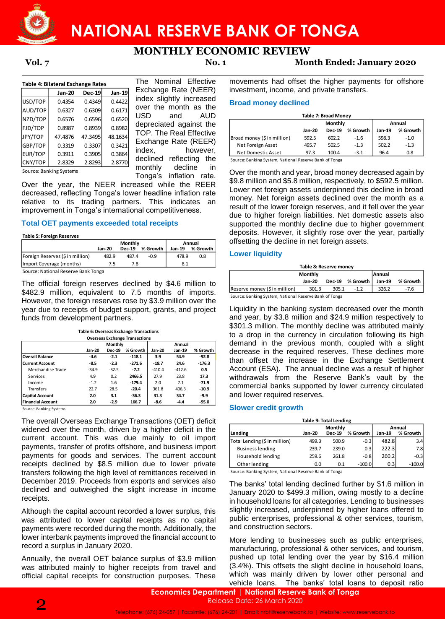

## **MONTHLY ECONOMIC REVIEW**

| Table 4: Bilateral Exchange Rates |               |               |         |  |  |  |  |  |
|-----------------------------------|---------------|---------------|---------|--|--|--|--|--|
|                                   | <b>Jan-20</b> | <b>Dec-19</b> | Jan-19  |  |  |  |  |  |
| USD/TOP                           | 0.4354        | 0.4349        | 0.4422  |  |  |  |  |  |
| AUD/TOP                           | 0.6327        | 0.6309        | 0.6171  |  |  |  |  |  |
| NZD/TOP                           | 0.6576        | 0.6596        | 0.6520  |  |  |  |  |  |
| <b>FJD/TOP</b>                    | 0.8987        | 0.8939        | 0.8982  |  |  |  |  |  |
| JPY/TOP                           | 47.4876       | 47.3495       | 48.1634 |  |  |  |  |  |
| GBP/TOP                           | 0.3319        | 0.3307        | 0.3421  |  |  |  |  |  |
| EUR/TOP                           | 0.3911        | 0.3905        | 0.3864  |  |  |  |  |  |
| CNY/TOP                           | 2.8329        | 2.8293        | 2.8770  |  |  |  |  |  |

The Nominal Effective Exchange Rate (NEER) dex slightly increased ver the month as the USD and AUD depreciated against the OP. The Real Effective Exchange Rate (REER) index, however, leclined reflecting the monthly decline in Tonga's inflation rate.

Source: Banking Systems

Over the year, the NEER increased while the REER decreased, reflecting Tonga's lower headline inflation rate relative to its trading partners. This indicates an improvement in Tonga's international competitiveness.

#### **Total OET payments exceeded total receipts**

|                                     | Monthly       |               |          | Annual |          |  |
|-------------------------------------|---------------|---------------|----------|--------|----------|--|
|                                     | <b>Jan-20</b> | <b>Dec-19</b> | % Growth | Jan-19 | % Growth |  |
| Foreign Reserves (\$ in million)    | 482.9         | 487.4         | $-0.9$   | 478.9  | 0.8      |  |
| (Import Coverage (months)           |               | 7.8           |          | 8.1    |          |  |
| Source: National Reserve Bank Tonga |               |               |          |        |          |  |

Source: National Reserve Bank Tonga

The official foreign reserves declined by \$4.6 million to \$482.9 million, equivalent to 7.5 months of imports. However, the foreign reserves rose by \$3.9 million over the year due to receipts of budget support, grants, and project funds from development partners.

| Table 6: Overseas Exchange Transactions |
|-----------------------------------------|
| Overseas Exchange Transactions          |

| <b>Overseas Exchange Transactions</b> |               |                |          |          |          |          |  |  |
|---------------------------------------|---------------|----------------|----------|----------|----------|----------|--|--|
|                                       |               | <b>Monthly</b> |          | Annual   |          |          |  |  |
|                                       | <b>Jan-20</b> | <b>Dec-19</b>  | % Growth | Jan-20   | Jan-19   | % Growth |  |  |
| <b>Overall Balance</b>                | $-4.6$        | $-2.1$         | $-118.1$ | 3.9      | 54.9     | $-92.8$  |  |  |
| <b>Current Account</b>                | -8.5          | $-2.3$         | $-271.6$ | $-18.7$  | 24.6     | $-176.3$ |  |  |
| Merchandise Trade                     | $-34.9$       | $-32.5$        | $-7.2$   | $-410.4$ | $-412.6$ | 0.5      |  |  |
| Services                              | 4.9           | 0.2            | 2466.5   | 27.9     | 23.8     | 17.3     |  |  |
| Income                                | $-1.2$        | 1.6            | $-179.4$ | 2.0      | 7.1      | $-71.9$  |  |  |
| Transfers                             | 22.7          | 28.5           | $-20.4$  | 361.8    | 406.3    | $-10.9$  |  |  |
| <b>Capital Account</b>                | 2.0           | 3.1            | $-36.3$  | 31.3     | 34.7     | $-9.9$   |  |  |
| <b>Financial Account</b>              | 2.0           | $-2.9$         | 166.7    | $-8.6$   | $-4.4$   | $-95.0$  |  |  |

Source: Banking Systems

The overall Overseas Exchange Transactions (OET) deficit widened over the month, driven by a higher deficit in the current account. This was due mainly to oil import payments, transfer of profits offshore, and business import payments for goods and services. The current account receipts declined by \$8.5 million due to lower private transfers following the high level of remittances received in December 2019. Proceeds from exports and services also declined and outweighed the slight increase in income receipts.

Although the capital account recorded a lower surplus, this was attributed to lower capital receipts as no capital payments were recorded during the month. Additionally, the lower interbank payments improved the financial account to record a surplus in January 2020.

Annually, the overall OET balance surplus of \$3.9 million was attributed mainly to higher receipts from travel and official capital receipts for construction purposes. These

**Vol. 7 No. 1 Month Ended: January 2020**

movements had offset the higher payments for offshore investment, income, and private transfers.

### **Broad money declined**

| <b>Table 7: Broad Monev</b> |               |               |          |               |          |  |  |  |
|-----------------------------|---------------|---------------|----------|---------------|----------|--|--|--|
|                             |               | Monthly       | Annual   |               |          |  |  |  |
|                             | <b>Jan-20</b> | <b>Dec-19</b> | % Growth | <b>Jan-19</b> | % Growth |  |  |  |
| Broad money (\$ in million) | 592.5         | 602.2         | $-1.6$   | 598.3         | $-1.0$   |  |  |  |
| Net Foreign Asset           | 495.7         | 502.5         | $-1.3$   | 502.2         | $-1.3$   |  |  |  |
| Net Domestic Asset          | 97.3          | 100.4         | $-3.1$   | 96.4          | 0.8      |  |  |  |

Source: Banking System, National Reserve Bank of Tonga

Over the month and year, broad money decreased again by \$9.8 million and \$5.8 million, respectively, to \$592.5 million. Lower net foreign assets underpinned this decline in broad money. Net foreign assets declined over the month as a result of the lower foreign reserves, and it fell over the year due to higher foreign liabilities. Net domestic assets also supported the monthly decline due to higher government deposits. However, it slightly rose over the year, partially offsetting the decline in net foreign assets. 0.6596 0.6520 USD and AUD<br>
0.898 0.897 0.997 and AUD<br>
47.3495 3.692 and the EFI exclusive the content of the REER<br>
0.3307 0.3421 Exchange Rate (REER) Net Foreign Asset<br>
0.3307 0.3421 index, however,  $\frac{1}{3}$  increding the

#### **Lower liquidity**

| Table 8: Reserve money                                 |        |       |                 |        |          |  |  |  |
|--------------------------------------------------------|--------|-------|-----------------|--------|----------|--|--|--|
| Monthly<br><b>Annual</b>                               |        |       |                 |        |          |  |  |  |
|                                                        | Jan-20 |       | Dec-19 % Growth | Jan-19 | % Growth |  |  |  |
| Reserve money (\$ in million)                          | 301.3  | 305.1 | $-1.2$          | 326.2  | $-7.6$   |  |  |  |
| Source: Banking System, National Reserve Bank of Tonga |        |       |                 |        |          |  |  |  |

Liquidity in the banking system decreased over the month and year, by \$3.8 million and \$24.9 million respectively to \$301.3 million. The monthly decline was attributed mainly to a drop in the currency in circulation following its high demand in the previous month, coupled with a slight decrease in the required reserves. These declines more than offset the increase in the Exchange Settlement Account (ESA). The annual decline was a result of higher withdrawals from the Reserve Bank's vault by the commercial banks supported by lower currency circulated and lower required reserves. The contract contract the measure of the state of the banks' total loans to deposit ratio of the measure of the banks' total loans in the state of the state of the state of the state of the state of the state of the state

#### **Slower credit growth**

| <b>Table 9: Total Lending</b> |               |               |          |                                           |  |  |  |  |
|-------------------------------|---------------|---------------|----------|-------------------------------------------|--|--|--|--|
| Monthly<br>Annual             |               |               |          |                                           |  |  |  |  |
|                               |               |               |          | % Growth                                  |  |  |  |  |
| 499.3                         | 500.9         | $-0.3$        |          | 3.4                                       |  |  |  |  |
| 239.7                         | 239.0         | 0.3           |          | 7.8                                       |  |  |  |  |
| 259.6                         | 261.8         | $-0.8$        |          | $-0.3$                                    |  |  |  |  |
| 0.0                           | 0.1           | $-100.0$      |          | $-100.0$                                  |  |  |  |  |
|                               | <b>Jan-20</b> | <b>Dec-19</b> | % Growth | Jan-19<br>482.8<br>222.3<br>260.2<br>0.31 |  |  |  |  |

Source: Banking System, National Reserve Bank of Tonga

The banks' total lending declined further by \$1.6 million in January 2020 to \$499.3 million, owing mostly to a decline in household loans for all categories. Lending to businesses slightly increased, underpinned by higher loans offered to public enterprises, professional & other services, tourism, and construction sectors.

More lending to businesses such as public enterprises, manufacturing, professional & other services, and tourism, pushed up total lending over the year by \$16.4 million (3.4%). This offsets the slight decline in household loans, which was mainly driven by lower other personal and